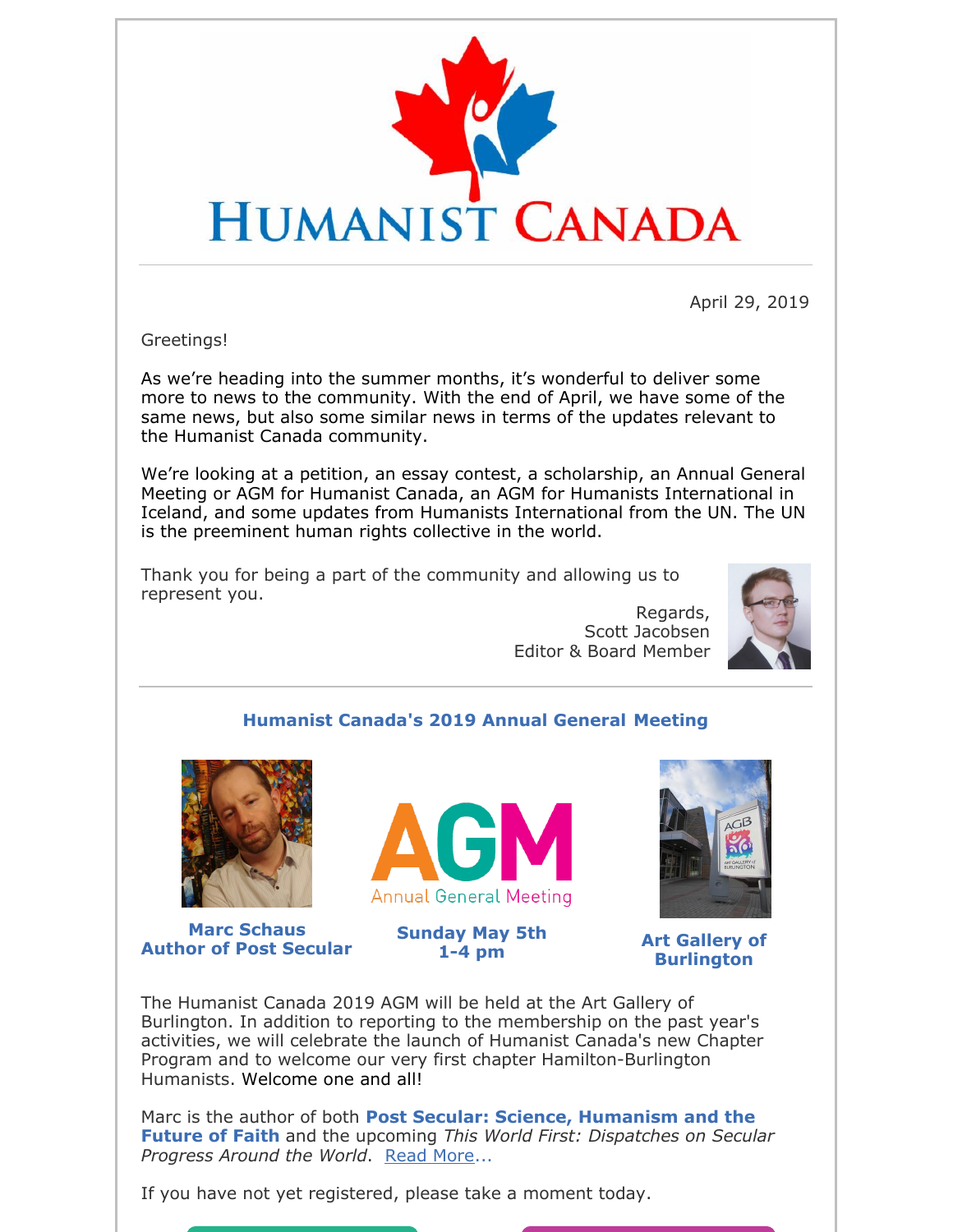

April 29, 2019

Greetings!

As we're heading into the summer months, it's wonderful to deliver some more to news to the community. With the end of April, we have some of the same news, but also some similar news in terms of the updates relevant to the Humanist Canada community.

We're looking at a petition, an essay contest, a scholarship, an Annual General Meeting or AGM for Humanist Canada, an AGM for Humanists International in Iceland, and some updates from Humanists International from the UN. The UN is the preeminent human rights collective in the world.

Thank you for being a part of the community and allowing us to represent you.

> Regards, Scott Jacobsen Editor & Board Member



### **Humanist Canada's 2019 Annual General Meeting**



**Marc Schaus Author of Post Secular**



**Sunday May 5th 1-4 pm**



**Art Gallery of Burlington**

The Humanist Canada 2019 AGM will be held at the Art Gallery of Burlington. In addition to reporting to the membership on the past year's activities, we will celebrate the launch of Humanist Canada's new Chapter Program and to welcome our very first chapter Hamilton-Burlington Humanists. Welcome one and all!

Marc is the author of both **Post Secular: Science, Humanism and the Future of Faith** and the upcoming *This World First: Dispatches on Secular Progress Around the World*. Read More...

If you have not yet registered, please take a moment today.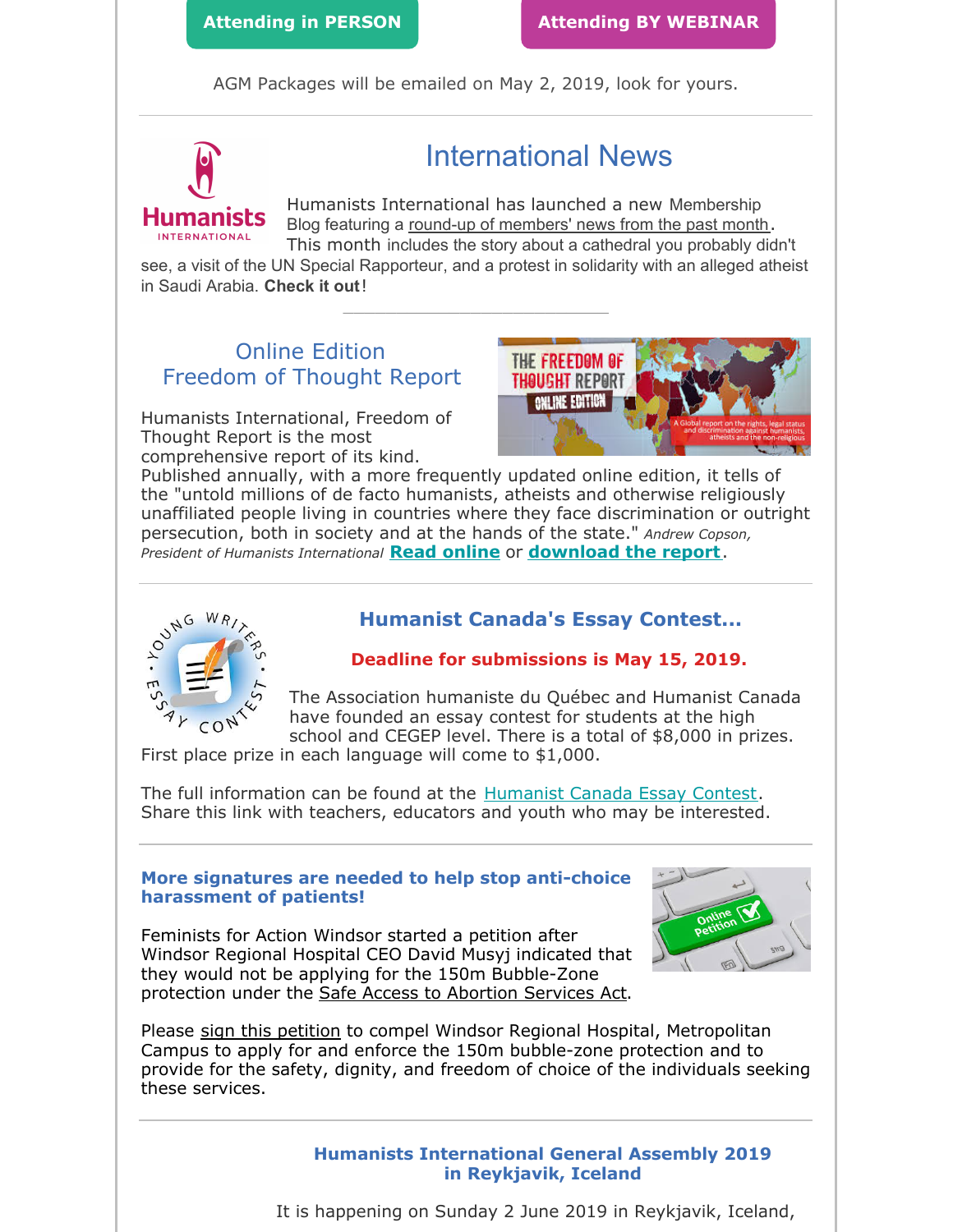AGM Packages will be emailed on May 2, 2019, look for yours.



# International News

Humanists International has launched a new Membership Blog featuring a round-up of members' news from the past month. This month includes the story about a cathedral you probably didn't

see, a visit of the UN Special Rapporteur, and a protest in solidarity with an alleged atheist in Saudi Arabia. **Check it out**!

\_\_\_\_\_\_\_\_\_\_\_\_\_\_\_\_\_\_\_\_\_\_\_\_\_

### Online Edition Freedom of Thought Report

Humanists International, Freedom of Thought Report is the most comprehensive report of its kind.



Published annually, with a more frequently updated online edition, it tells of the "untold millions of de facto humanists, atheists and otherwise religiously unaffiliated people living in countries where they face discrimination or outright persecution, both in society and at the hands of the state." *Andrew Copson, President of Humanists International* **Read online** or **download the report**.



### **Humanist Canada's Essay Contest...**

#### **Deadline for submissions is May 15, 2019.**

The Association humaniste du Québec and Humanist Canada have founded an essay contest for students at the high school and CEGEP level. There is a total of \$8,000 in prizes.

First place prize in each language will come to \$1,000.

The full information can be found at the Humanist Canada Essay Contest. Share this link with teachers, educators and youth who may be interested.

#### **More signatures are needed to help stop anti-choice harassment of patients!**

Feminists for Action Windsor started a petition after Windsor Regional Hospital CEO David Musyj indicated that they would not be applying for the 150m Bubble-Zone protection under the Safe Access to Abortion Services Act.



Please sign this petition to compel Windsor Regional Hospital, Metropolitan Campus to apply for and enforce the 150m bubble-zone protection and to provide for the safety, dignity, and freedom of choice of the individuals seeking these services.

> **Humanists International General Assembly 2019 in Reykjavik, Iceland**

It is happening on Sunday 2 June 2019 in Reykjavik, Iceland,